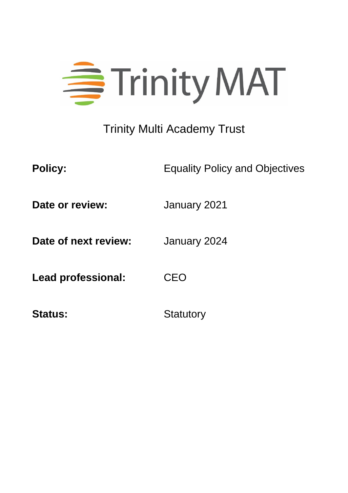

# Trinity Multi Academy Trust

**Policy:** Equality Policy and Objectives

**Date or review:** January 2021

**Date of next review:** January 2024

**Lead professional:** CEO

Status: Statutory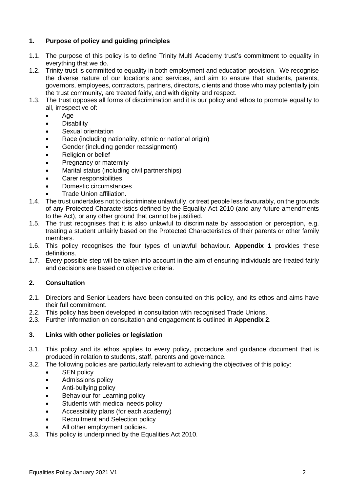## **1. Purpose of policy and guiding principles**

- 1.1. The purpose of this policy is to define Trinity Multi Academy trust's commitment to equality in everything that we do.
- 1.2. Trinity trust is committed to equality in both employment and education provision. We recognise the diverse nature of our locations and services, and aim to ensure that students, parents, governors, employees, contractors, partners, directors, clients and those who may potentially join the trust community, are treated fairly, and with dignity and respect.
- 1.3. The trust opposes all forms of discrimination and it is our policy and ethos to promote equality to all, irrespective of:
	- Age
	- Disability
	- Sexual orientation
	- Race (including nationality, ethnic or national origin)
	- Gender (including gender reassignment)
	- Religion or belief
	- Pregnancy or maternity
	- Marital status (including civil partnerships)
	- Carer responsibilities
	- Domestic circumstances
	- Trade Union affiliation.
- 1.4. The trust undertakes not to discriminate unlawfully, or treat people less favourably, on the grounds of any Protected Characteristics defined by the Equality Act 2010 (and any future amendments to the Act), or any other ground that cannot be justified.
- 1.5. The trust recognises that it is also unlawful to discriminate by association or perception, e.g. treating a student unfairly based on the Protected Characteristics of their parents or other family members.
- 1.6. This policy recognises the four types of unlawful behaviour. **Appendix 1** provides these definitions.
- 1.7. Every possible step will be taken into account in the aim of ensuring individuals are treated fairly and decisions are based on objective criteria.

# **2. Consultation**

- 2.1. Directors and Senior Leaders have been consulted on this policy, and its ethos and aims have their full commitment.
- 2.2. This policy has been developed in consultation with recognised Trade Unions.
- 2.3. Further information on consultation and engagement is outlined in **Appendix 2**.

## **3. Links with other policies or legislation**

- 3.1. This policy and its ethos applies to every policy, procedure and guidance document that is produced in relation to students, staff, parents and governance.
- 3.2. The following policies are particularly relevant to achieving the objectives of this policy:
	- **SEN policy**
	- Admissions policy
	- Anti-bullying policy
	- Behaviour for Learning policy
	- Students with medical needs policy
	- Accessibility plans (for each academy)
	- Recruitment and Selection policy
	- All other employment policies.
- 3.3. This policy is underpinned by the Equalities Act 2010.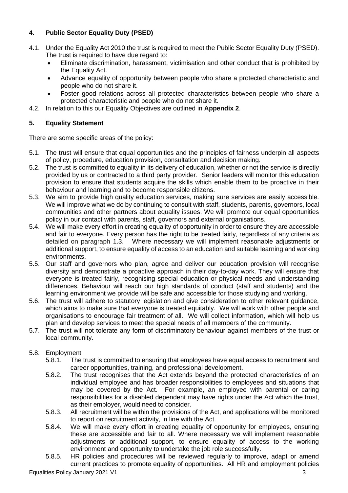# **4. Public Sector Equality Duty (PSED)**

- 4.1. Under the Equality Act 2010 the trust is required to meet the Public Sector Equality Duty (PSED). The trust is required to have due regard to:
	- Eliminate discrimination, harassment, victimisation and other conduct that is prohibited by the Equality Act.
	- Advance equality of opportunity between people who share a protected characteristic and people who do not share it.
	- Foster good relations across all protected characteristics between people who share a protected characteristic and people who do not share it.
- 4.2. In relation to this our Equality Objectives are outlined in **Appendix 2**.

## **5. Equality Statement**

There are some specific areas of the policy:

- 5.1. The trust will ensure that equal opportunities and the principles of fairness underpin all aspects of policy, procedure, education provision, consultation and decision making.
- 5.2. The trust is committed to equality in its delivery of education, whether or not the service is directly provided by us or contracted to a third party provider. Senior leaders will monitor this education provision to ensure that students acquire the skills which enable them to be proactive in their behaviour and learning and to become responsible citizens.
- 5.3. We aim to provide high quality education services, making sure services are easily accessible. We will improve what we do by continuing to consult with staff, students, parents, governors, local communities and other partners about equality issues. We will promote our equal opportunities policy in our contact with parents, staff, governors and external organisations.
- 5.4. We will make every effort in creating equality of opportunity in order to ensure they are accessible and fair to everyone. Every person has the right to be treated fairly, regardless of any criteria as detailed on paragraph 1.3. Where necessary we will implement reasonable adjustments or additional support, to ensure equality of access to an education and suitable learning and working environments.
- 5.5. Our staff and governors who plan, agree and deliver our education provision will recognise diversity and demonstrate a proactive approach in their day-to-day work. They will ensure that everyone is treated fairly, recognising special education or physical needs and understanding differences. Behaviour will reach our high standards of conduct (staff and students) and the learning environment we provide will be safe and accessible for those studying and working.
- 5.6. The trust will adhere to statutory legislation and give consideration to other relevant guidance, which aims to make sure that everyone is treated equitably. We will work with other people and organisations to encourage fair treatment of all. We will collect information, which will help us plan and develop services to meet the special needs of all members of the community.
- 5.7. The trust will not tolerate any form of discriminatory behaviour against members of the trust or local community.

# 5.8. Employment

- 5.8.1. The trust is committed to ensuring that employees have equal access to recruitment and career opportunities, training, and professional development.
- 5.8.2. The trust recognises that the Act extends beyond the protected characteristics of an individual employee and has broader responsibilities to employees and situations that may be covered by the Act. For example, an employee with parental or caring responsibilities for a disabled dependent may have rights under the Act which the trust, as their employer, would need to consider.
- 5.8.3. All recruitment will be within the provisions of the Act, and applications will be monitored to report on recruitment activity, in line with the Act.
- 5.8.4. We will make every effort in creating equality of opportunity for employees, ensuring these are accessible and fair to all. Where necessary we will implement reasonable adjustments or additional support, to ensure equality of access to the working environment and opportunity to undertake the job role successfully.
- 5.8.5. HR policies and procedures will be reviewed regularly to improve, adapt or amend current practices to promote equality of opportunities. All HR and employment policies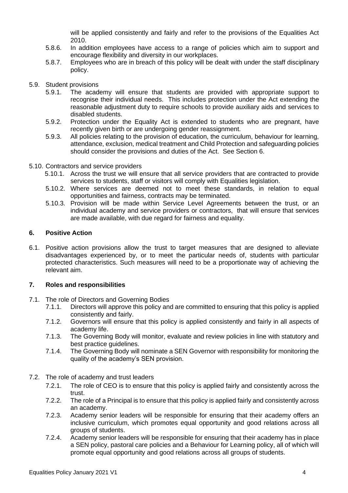will be applied consistently and fairly and refer to the provisions of the Equalities Act 2010.

- 5.8.6. In addition employees have access to a range of policies which aim to support and encourage flexibility and diversity in our workplaces.
- 5.8.7. Employees who are in breach of this policy will be dealt with under the staff disciplinary policy.
- 5.9. Student provisions
	- 5.9.1. The academy will ensure that students are provided with appropriate support to recognise their individual needs. This includes protection under the Act extending the reasonable adjustment duty to require schools to provide auxiliary aids and services to disabled students.
	- 5.9.2. Protection under the Equality Act is extended to students who are pregnant, have recently given birth or are undergoing gender reassignment.
	- 5.9.3. All policies relating to the provision of education, the curriculum, behaviour for learning, attendance, exclusion, medical treatment and Child Protection and safeguarding policies should consider the provisions and duties of the Act. See Section 6.
- 5.10. Contractors and service providers
	- 5.10.1. Across the trust we will ensure that all service providers that are contracted to provide services to students, staff or visitors will comply with Equalities legislation.
	- 5.10.2. Where services are deemed not to meet these standards, in relation to equal opportunities and fairness, contracts may be terminated.
	- 5.10.3. Provision will be made within Service Level Agreements between the trust, or an individual academy and service providers or contractors, that will ensure that services are made available, with due regard for fairness and equality.

#### **6. Positive Action**

6.1. Positive action provisions allow the trust to target measures that are designed to alleviate disadvantages experienced by, or to meet the particular needs of, students with particular protected characteristics. Such measures will need to be a proportionate way of achieving the relevant aim.

## **7. Roles and responsibilities**

- 7.1. The role of Directors and Governing Bodies
	- 7.1.1. Directors will approve this policy and are committed to ensuring that this policy is applied consistently and fairly.
	- 7.1.2. Governors will ensure that this policy is applied consistently and fairly in all aspects of academy life.
	- 7.1.3. The Governing Body will monitor, evaluate and review policies in line with statutory and best practice guidelines.
	- 7.1.4. The Governing Body will nominate a SEN Governor with responsibility for monitoring the quality of the academy's SEN provision.
- 7.2. The role of academy and trust leaders
	- 7.2.1. The role of CEO is to ensure that this policy is applied fairly and consistently across the trust.
	- 7.2.2. The role of a Principal is to ensure that this policy is applied fairly and consistently across an academy.
	- 7.2.3. Academy senior leaders will be responsible for ensuring that their academy offers an inclusive curriculum, which promotes equal opportunity and good relations across all groups of students.
	- 7.2.4. Academy senior leaders will be responsible for ensuring that their academy has in place a SEN policy, pastoral care policies and a Behaviour for Learning policy, all of which will promote equal opportunity and good relations across all groups of students.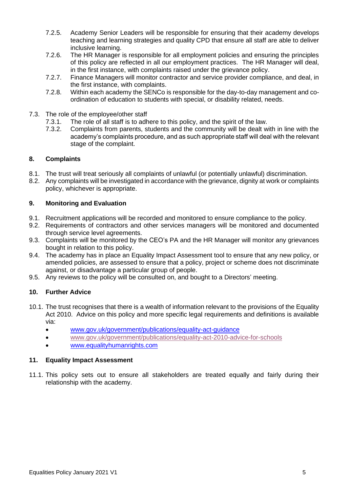- 7.2.5. Academy Senior Leaders will be responsible for ensuring that their academy develops teaching and learning strategies and quality CPD that ensure all staff are able to deliver inclusive learning.
- 7.2.6. The HR Manager is responsible for all employment policies and ensuring the principles of this policy are reflected in all our employment practices. The HR Manager will deal, in the first instance, with complaints raised under the grievance policy.
- 7.2.7. Finance Managers will monitor contractor and service provider compliance, and deal, in the first instance, with complaints.
- 7.2.8. Within each academy the SENCo is responsible for the day-to-day management and coordination of education to students with special, or disability related, needs.
- 7.3. The role of the employee/other staff
	- 7.3.1. The role of all staff is to adhere to this policy, and the spirit of the law.
	- 7.3.2. Complaints from parents, students and the community will be dealt with in line with the academy's complaints procedure, and as such appropriate staff will deal with the relevant stage of the complaint.

## **8. Complaints**

- 8.1. The trust will treat seriously all complaints of unlawful (or potentially unlawful) discrimination.
- 8.2. Any complaints will be investigated in accordance with the grievance, dignity at work or complaints policy, whichever is appropriate.

#### **9. Monitoring and Evaluation**

- 9.1. Recruitment applications will be recorded and monitored to ensure compliance to the policy.
- 9.2. Requirements of contractors and other services managers will be monitored and documented through service level agreements.
- 9.3. Complaints will be monitored by the CEO's PA and the HR Manager will monitor any grievances bought in relation to this policy.
- 9.4. The academy has in place an Equality Impact Assessment tool to ensure that any new policy, or amended policies, are assessed to ensure that a policy, project or scheme does not discriminate against, or disadvantage a particular group of people.
- 9.5. Any reviews to the policy will be consulted on, and bought to a Directors' meeting.

## **10. Further Advice**

- 10.1. The trust recognises that there is a wealth of information relevant to the provisions of the Equality Act 2010. Advice on this policy and more specific legal requirements and definitions is available via:
	- [www.gov.uk/government/publications/equality-act-guidance](http://www.gov.uk/government/publications/equality-act-guidance)
	- [www.gov.uk/government/publications/equality-act-2010-advice-for-schools](https://eur03.safelinks.protection.outlook.com/?url=http%3A%2F%2Fwww.gov.uk%2Fgovernment%2Fpublications%2Fequality-act-2010-advice-for-schools&data=04%7C01%7CH.Singleton%40trinityacademyhalifax.org%7C0630a8060be04542823308d8b3cf809d%7Cae3d210892e840b79cfc9b463f21fd37%7C1%7C0%7C637457051111004763%7CUnknown%7CTWFpbGZsb3d8eyJWIjoiMC4wLjAwMDAiLCJQIjoiV2luMzIiLCJBTiI6Ik1haWwiLCJXVCI6Mn0%3D%7C1000&sdata=MMpR3FC%2FljkcXASHvvuBa4yHPq7IiUyYekKCgr2llI8%3D&reserved=0)
	- [www.equalityhumanrights.com](http://www.equalityhumanrights.com/)

#### **11. Equality Impact Assessment**

11.1. This policy sets out to ensure all stakeholders are treated equally and fairly during their relationship with the academy.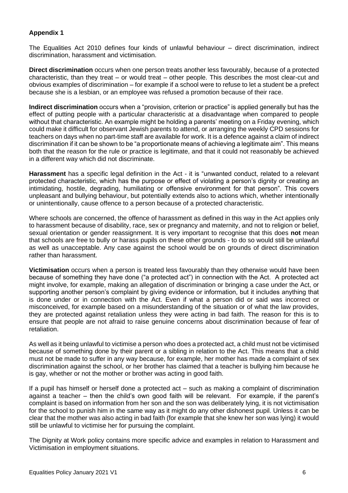#### **Appendix 1**

The Equalities Act 2010 defines four kinds of unlawful behaviour – direct discrimination, indirect discrimination, harassment and victimisation.

**Direct discrimination** occurs when one person treats another less favourably, because of a protected characteristic, than they treat – or would treat – other people. This describes the most clear-cut and obvious examples of discrimination – for example if a school were to refuse to let a student be a prefect because she is a lesbian, or an employee was refused a promotion because of their race.

**Indirect discrimination** occurs when a "provision, criterion or practice" is applied generally but has the effect of putting people with a particular characteristic at a disadvantage when compared to people without that characteristic. An example might be holding a parents' meeting on a Friday evening, which could make it difficult for observant Jewish parents to attend, or arranging the weekly CPD sessions for teachers on days when no part-time staff are available for work. It is a defence against a claim of indirect discrimination if it can be shown to be "a proportionate means of achieving a legitimate aim". This means both that the reason for the rule or practice is legitimate, and that it could not reasonably be achieved in a different way which did not discriminate.

**Harassment** has a specific legal definition in the Act - it is "unwanted conduct, related to a relevant protected characteristic, which has the purpose or effect of violating a person's dignity or creating an intimidating, hostile, degrading, humiliating or offensive environment for that person". This covers unpleasant and bullying behaviour, but potentially extends also to actions which, whether intentionally or unintentionally, cause offence to a person because of a protected characteristic.

Where schools are concerned, the offence of harassment as defined in this way in the Act applies only to harassment because of disability, race, sex or pregnancy and maternity, and not to religion or belief, sexual orientation or gender reassignment. It is very important to recognise that this does **not** mean that schools are free to bully or harass pupils on these other grounds - to do so would still be unlawful as well as unacceptable. Any case against the school would be on grounds of direct discrimination rather than harassment.

**Victimisation** occurs when a person is treated less favourably than they otherwise would have been because of something they have done ("a protected act") in connection with the Act. A protected act might involve, for example, making an allegation of discrimination or bringing a case under the Act, or supporting another person's complaint by giving evidence or information, but it includes anything that is done under or in connection with the Act. Even if what a person did or said was incorrect or misconceived, for example based on a misunderstanding of the situation or of what the law provides, they are protected against retaliation unless they were acting in bad faith. The reason for this is to ensure that people are not afraid to raise genuine concerns about discrimination because of fear of retaliation.

As well as it being unlawful to victimise a person who does a protected act, a child must not be victimised because of something done by their parent or a sibling in relation to the Act. This means that a child must not be made to suffer in any way because, for example, her mother has made a complaint of sex discrimination against the school, or her brother has claimed that a teacher is bullying him because he is gay, whether or not the mother or brother was acting in good faith.

If a pupil has himself or herself done a protected act – such as making a complaint of discrimination against a teacher – then the child's own good faith will be relevant. For example, if the parent's complaint is based on information from her son and the son was deliberately lying, it is not victimisation for the school to punish him in the same way as it might do any other dishonest pupil. Unless it can be clear that the mother was also acting in bad faith (for example that she knew her son was lying) it would still be unlawful to victimise her for pursuing the complaint.

The Dignity at Work policy contains more specific advice and examples in relation to Harassment and Victimisation in employment situations.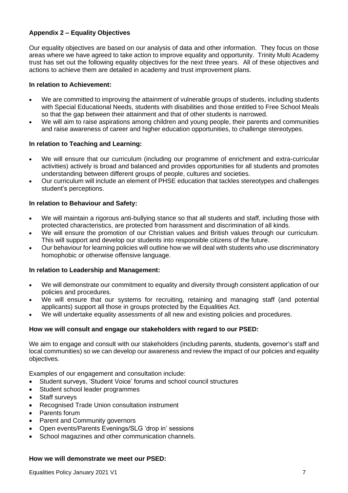## **Appendix 2 – Equality Objectives**

Our equality objectives are based on our analysis of data and other information. They focus on those areas where we have agreed to take action to improve equality and opportunity. Trinity Multi Academy trust has set out the following equality objectives for the next three years. All of these objectives and actions to achieve them are detailed in academy and trust improvement plans.

#### **In relation to Achievement:**

- We are committed to improving the attainment of vulnerable groups of students, including students with Special Educational Needs, students with disabilities and those entitled to Free School Meals so that the gap between their attainment and that of other students is narrowed.
- We will aim to raise aspirations among children and young people, their parents and communities and raise awareness of career and higher education opportunities, to challenge stereotypes.

#### **In relation to Teaching and Learning:**

- We will ensure that our curriculum (including our programme of enrichment and extra-curricular activities) actively is broad and balanced and provides opportunities for all students and promotes understanding between different groups of people, cultures and societies.
- Our curriculum will include an element of PHSE education that tackles stereotypes and challenges student's perceptions.

#### **In relation to Behaviour and Safety:**

- We will maintain a rigorous anti-bullying stance so that all students and staff, including those with protected characteristics, are protected from harassment and discrimination of all kinds.
- We will ensure the promotion of our Christian values and British values through our curriculum. This will support and develop our students into responsible citizens of the future.
- Our behaviour for learning policies will outline how we will deal with students who use discriminatory homophobic or otherwise offensive language.

#### **In relation to Leadership and Management:**

- We will demonstrate our commitment to equality and diversity through consistent application of our policies and procedures.
- We will ensure that our systems for recruiting, retaining and managing staff (and potential applicants) support all those in groups protected by the Equalities Act.
- We will undertake equality assessments of all new and existing policies and procedures.

#### **How we will consult and engage our stakeholders with regard to our PSED:**

We aim to engage and consult with our stakeholders (including parents, students, governor's staff and local communities) so we can develop our awareness and review the impact of our policies and equality objectives.

Examples of our engagement and consultation include:

- Student surveys, 'Student Voice' forums and school council structures
- Student school leader programmes
- Staff surveys
- Recognised Trade Union consultation instrument
- Parents forum
- Parent and Community governors
- Open events/Parents Evenings/SLG 'drop in' sessions
- School magazines and other communication channels.

#### **How we will demonstrate we meet our PSED:**